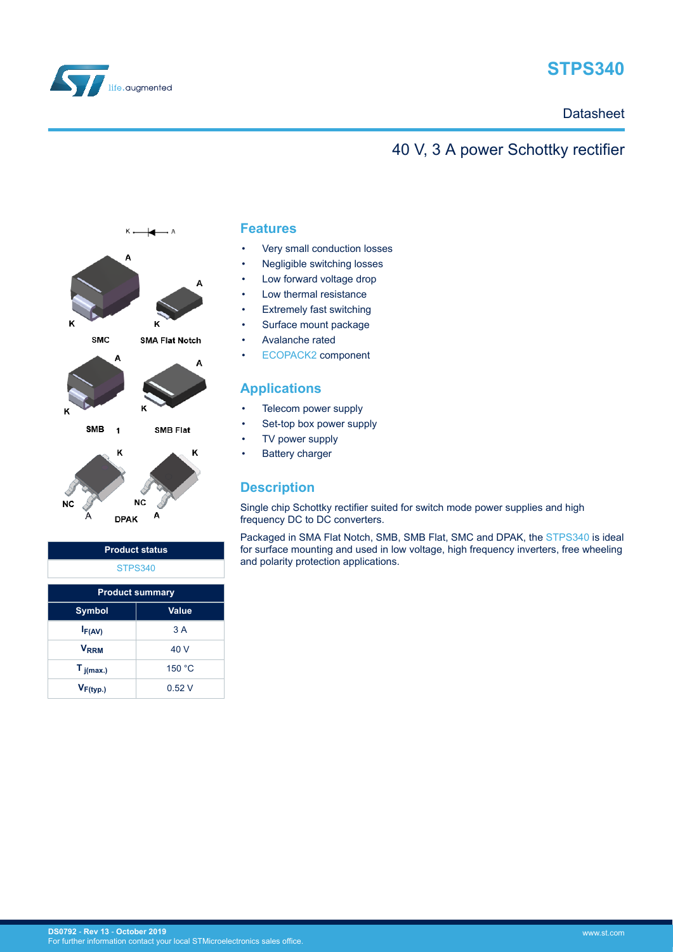

# **STPS340**

# **Datasheet**

# 40 V, 3 A power Schottky rectifier



| <b>Product status</b>  |              |  |
|------------------------|--------------|--|
| <b>STPS340</b>         |              |  |
| <b>Product summary</b> |              |  |
| <b>Symbol</b>          | <b>Value</b> |  |
| $I_{F(AV)}$            | 3A           |  |
| <b>VRRM</b>            | 40 V         |  |
| $T_{j(max.)}$          | 150 °C       |  |
| $V_{F(typ.)}$          | 0.52V        |  |

### **Features**

- Very small conduction losses
- Negligible switching losses
- Low forward voltage drop
- Low thermal resistance
- **Extremely fast switching**
- Surface mount package
- Avalanche rated
- [ECOPACK2](https://www.st.com/ecopack) component

# **Applications**

- Telecom power supply
- Set-top box power supply
- TV power supply
- **Battery charger**

# **Description**

Single chip Schottky rectifier suited for switch mode power supplies and high frequency DC to DC converters.

Packaged in SMA Flat Notch, SMB, SMB Flat, SMC and DPAK, the [STPS340](https://www.st.com/en/product/stps340?ecmp=tt9470_gl_link_feb2019&rt=ds&id=DS0792) is ideal for surface mounting and used in low voltage, high frequency inverters, free wheeling and polarity protection applications.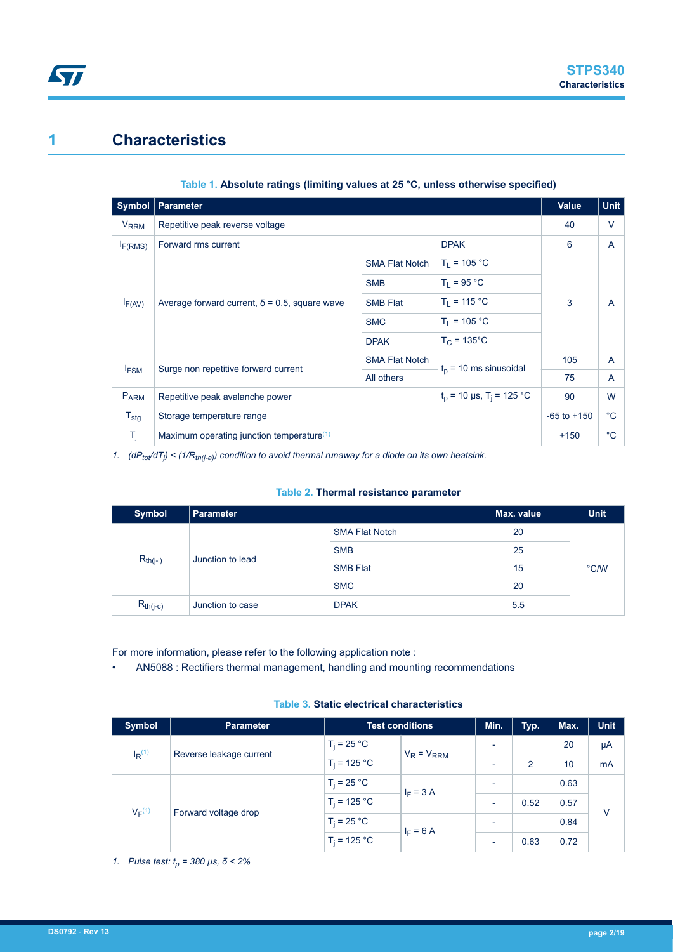# **1 Characteristics**

**ST** 

| Symbol                 | <b>Parameter</b>                                                          |                       | <b>Value</b>             | <b>Unit</b>     |             |
|------------------------|---------------------------------------------------------------------------|-----------------------|--------------------------|-----------------|-------------|
| <b>V<sub>RRM</sub></b> | Repetitive peak reverse voltage                                           |                       |                          | 40              | $\vee$      |
| $I_{F(RMS)}$           | <b>DPAK</b><br>Forward rms current                                        |                       | 6                        | A               |             |
|                        |                                                                           | <b>SMA Flat Notch</b> | $T_1 = 105 °C$           |                 |             |
|                        | Average forward current, $\delta$ = 0.5, square wave                      | <b>SMB</b>            | $T_1 = 95 °C$            | 3               | A           |
| $I_{F(AV)}$            |                                                                           | <b>SMB Flat</b>       | $T_1 = 115 °C$           |                 |             |
|                        |                                                                           | <b>SMC</b>            | $T_1 = 105 °C$           |                 |             |
|                        |                                                                           | <b>DPAK</b>           | $T_C = 135^{\circ}$ C    |                 |             |
|                        | Surge non repetitive forward current                                      | <b>SMA Flat Notch</b> | $t_p$ = 10 ms sinusoidal | 105             | A           |
| $I_{FSM}$              |                                                                           | All others            |                          | 75              | A           |
| <b>PARM</b>            | $t_p$ = 10 µs, T <sub>i</sub> = 125 °C<br>Repetitive peak avalanche power |                       | 90                       | W               |             |
| $T_{\text{stg}}$       | Storage temperature range                                                 |                       |                          | $-65$ to $+150$ | $^{\circ}C$ |
| $T_j$                  | Maximum operating junction temperature <sup>(1)</sup>                     |                       |                          | $+150$          | $^{\circ}C$ |

### **Table 1. Absolute ratings (limiting values at 25 °C, unless otherwise specified)**

*1. (dPtot/dT<sup>j</sup> ) < (1/Rth(j-a)) condition to avoid thermal runaway for a diode on its own heatsink.*

#### **Table 2. Thermal resistance parameter**

| <b>Symbol</b>                     | Parameter             |                 | Max. value | <b>Unit</b>   |
|-----------------------------------|-----------------------|-----------------|------------|---------------|
| $R_{th(j-l)}$<br>Junction to lead | <b>SMA Flat Notch</b> | 20              |            |               |
|                                   |                       | <b>SMB</b>      | 25         |               |
|                                   |                       | <b>SMB Flat</b> | 15         | $\degree$ C/W |
|                                   |                       | <b>SMC</b>      | 20         |               |
| $R_{th(j-c)}$                     | Junction to case      | <b>DPAK</b>     | 5.5        |               |

For more information, please refer to the following application note :

• AN5088 : Rectifiers thermal management, handling and mounting recommendations

### **Table 3. Static electrical characteristics**

| <b>Symbol</b>                                   | <b>Parameter</b> | <b>Test conditions</b> |                 | Min.                     | Typ. | Max. | <b>Unit</b> |
|-------------------------------------------------|------------------|------------------------|-----------------|--------------------------|------|------|-------------|
| $I_R$ <sup>(1)</sup><br>Reverse leakage current |                  | $T_i = 25 °C$          | $V_R = V_{RRM}$ | $\overline{\phantom{a}}$ |      | 20   | μA          |
|                                                 |                  | $T_i = 125 °C$         |                 | <b>1</b>                 | 2    | 10   | mA          |
| $V_F(1)$<br>Forward voltage drop                |                  | $T_i = 25 °C$          | $I_F = 3 A$     | $\overline{\phantom{0}}$ |      | 0.63 |             |
|                                                 |                  | $T_i = 125 °C$         |                 | $\overline{\phantom{0}}$ | 0.52 | 0.57 |             |
|                                                 |                  | $T_i = 25 °C$          |                 | $\overline{\phantom{0}}$ |      | 0.84 | V           |
|                                                 |                  | $T_i = 125 °C$         | $I_F = 6 A$     | $\overline{\phantom{a}}$ | 0.63 | 0.72 |             |

*1. Pulse test: tp = 380 µs, δ < 2%*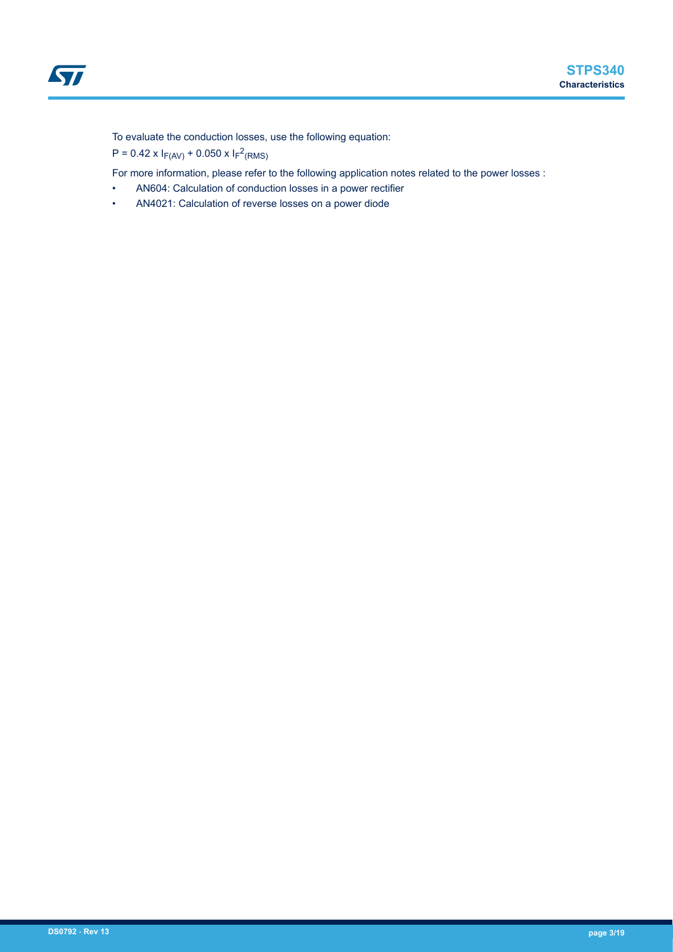To evaluate the conduction losses, use the following equation:

 $P = 0.42 \times I_{F(AV)} + 0.050 \times I_{F}^{2}(RMS)$ 

For more information, please refer to the following application notes related to the power losses :

- AN604: Calculation of conduction losses in a power rectifier
- AN4021: Calculation of reverse losses on a power diode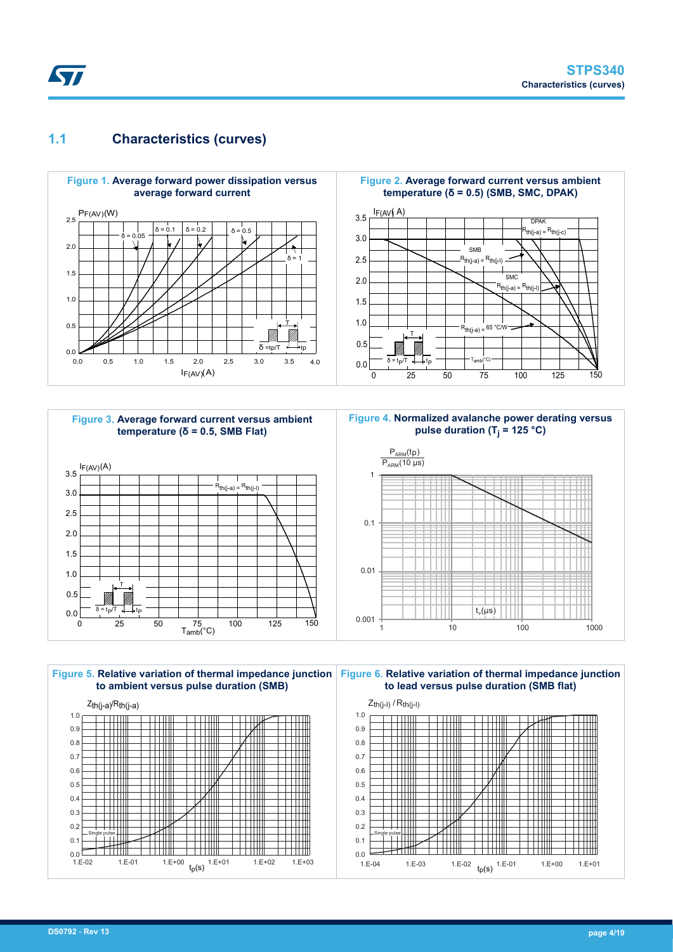# **1.1 Characteristics (curves)**

**Kyr** 









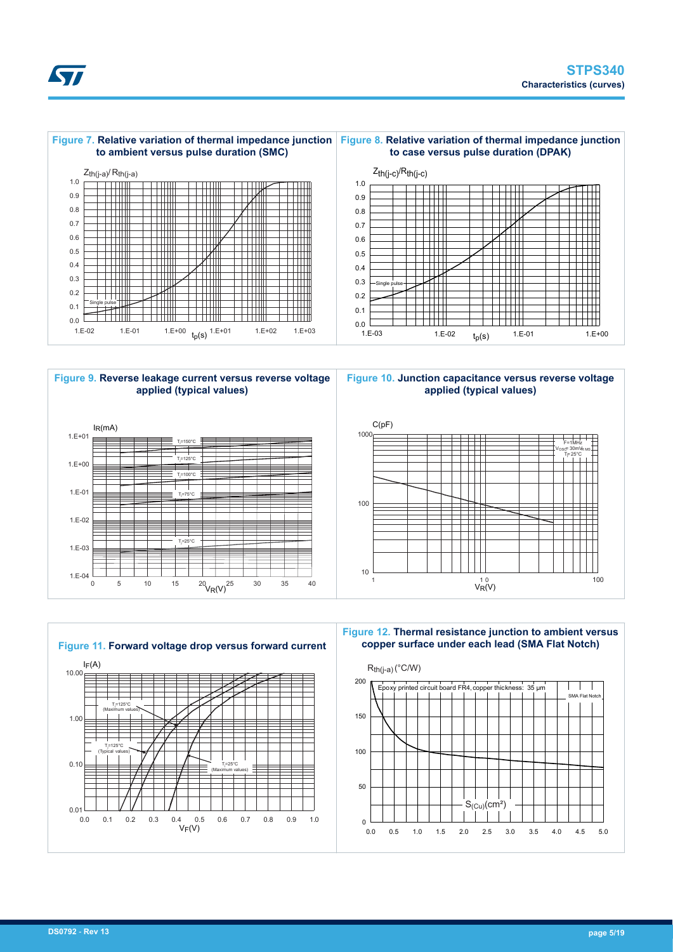



#### **Figure 9. Reverse leakage current versus reverse voltage applied (typical values)**









#### **Figure 12. Thermal resistance junction to ambient versus copper surface under each lead (SMA Flat Notch)**

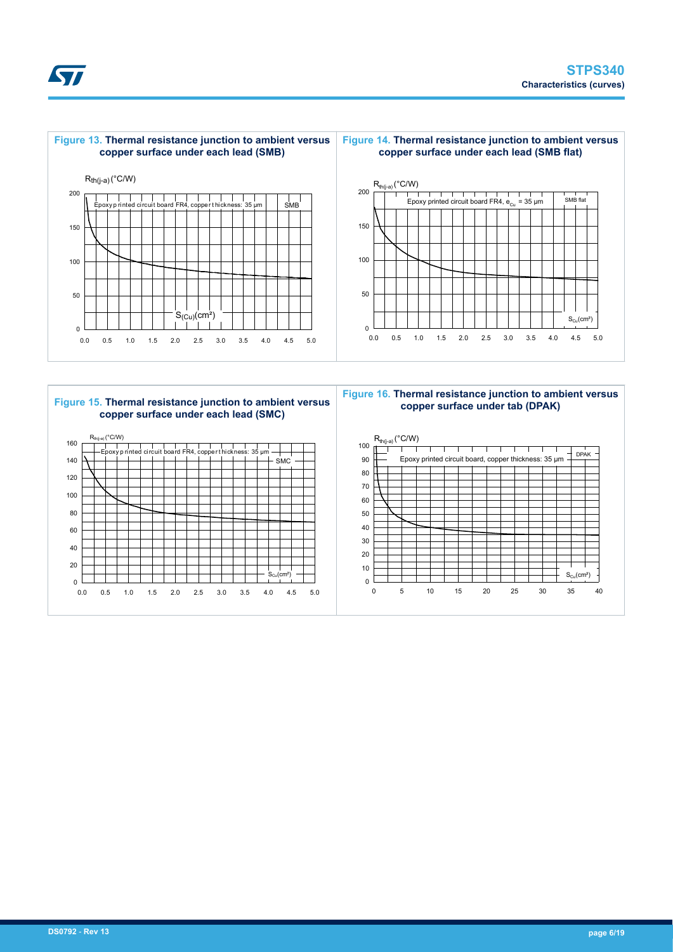



# **Figure 15. Thermal resistance junction to ambient versus copper surface under each lead (SMC)**



**Figure 16. Thermal resistance junction to ambient versus copper surface under tab (DPAK)**



*EAL*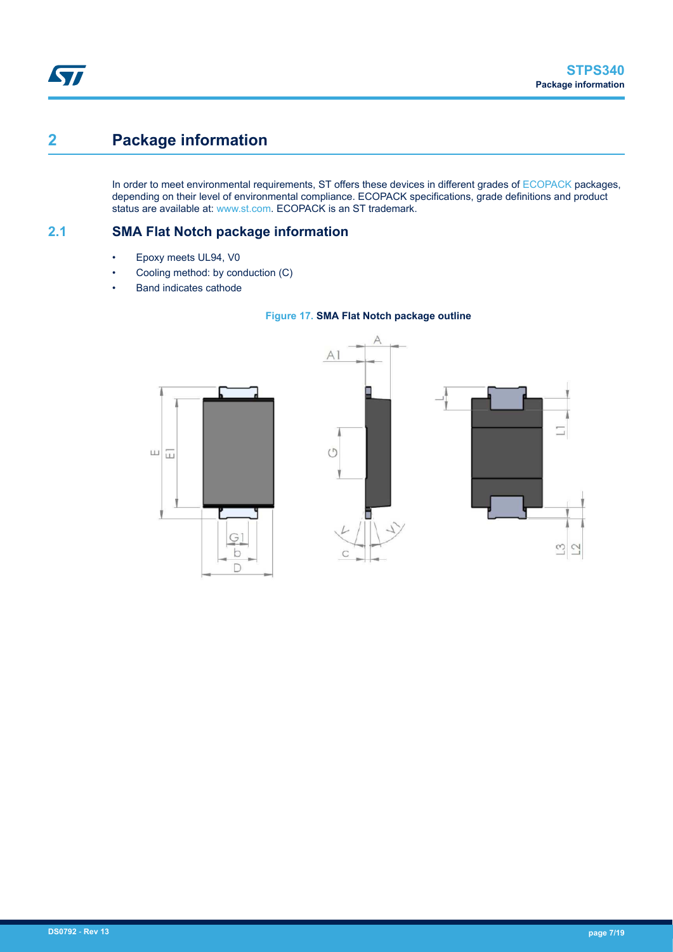# <span id="page-6-0"></span>**2 Package information**

In order to meet environmental requirements, ST offers these devices in different grades of [ECOPACK](https://www.st.com/ecopack) packages, depending on their level of environmental compliance. ECOPACK specifications, grade definitions and product status are available at: [www.st.com.](http://www.st.com) ECOPACK is an ST trademark.

**2.1 SMA Flat Notch package information**

- Epoxy meets UL94, V0
- Cooling method: by conduction (C)
- Band indicates cathode





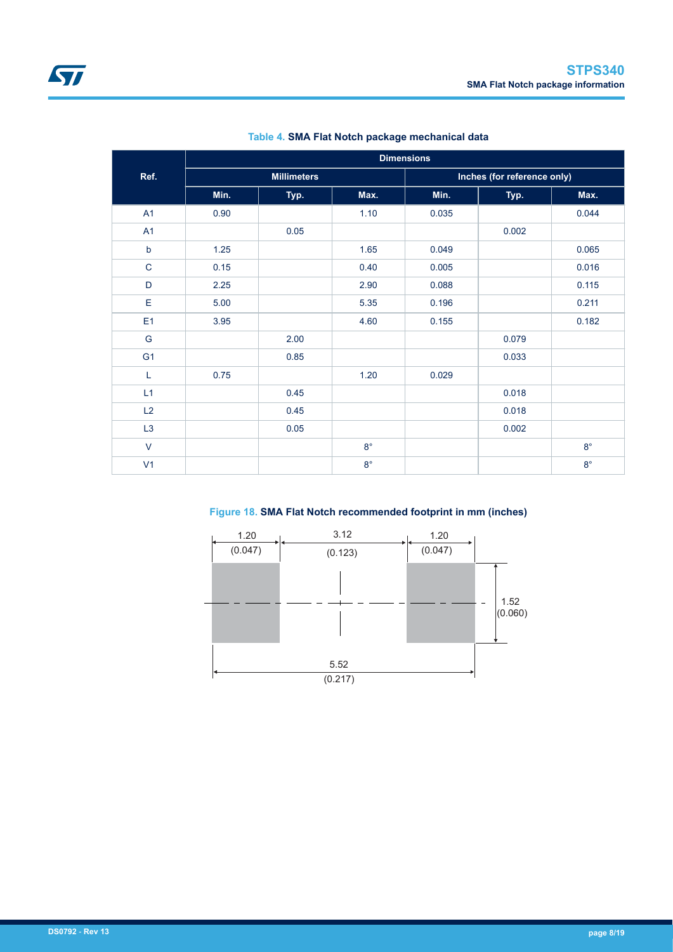|                | <b>Dimensions</b> |                    |             |       |                             |             |  |
|----------------|-------------------|--------------------|-------------|-------|-----------------------------|-------------|--|
| Ref.           |                   | <b>Millimeters</b> |             |       | Inches (for reference only) |             |  |
|                | Min.              | Typ.               | Max.        | Min.  | Typ.                        | Max.        |  |
| A1             | 0.90              |                    | 1.10        | 0.035 |                             | 0.044       |  |
| A1             |                   | 0.05               |             |       | 0.002                       |             |  |
| $\mathsf b$    | 1.25              |                    | 1.65        | 0.049 |                             | 0.065       |  |
| $\mathbf C$    | 0.15              |                    | 0.40        | 0.005 |                             | 0.016       |  |
| D              | 2.25              |                    | 2.90        | 0.088 |                             | 0.115       |  |
| Е              | 5.00              |                    | 5.35        | 0.196 |                             | 0.211       |  |
| E <sub>1</sub> | 3.95              |                    | 4.60        | 0.155 |                             | 0.182       |  |
| ${\mathsf G}$  |                   | 2.00               |             |       | 0.079                       |             |  |
| G <sub>1</sub> |                   | 0.85               |             |       | 0.033                       |             |  |
| L              | 0.75              |                    | 1.20        | 0.029 |                             |             |  |
| L1             |                   | 0.45               |             |       | 0.018                       |             |  |
| L2             |                   | 0.45               |             |       | 0.018                       |             |  |
| L3             |                   | 0.05               |             |       | 0.002                       |             |  |
| $\vee$         |                   |                    | $8^{\circ}$ |       |                             | $8^{\circ}$ |  |
| V <sub>1</sub> |                   |                    | $8^{\circ}$ |       |                             | $8^{\circ}$ |  |

| Table 4. SMA Flat Notch package mechanical data |  |
|-------------------------------------------------|--|
|-------------------------------------------------|--|

**Figure 18. SMA Flat Notch recommended footprint in mm (inches)**

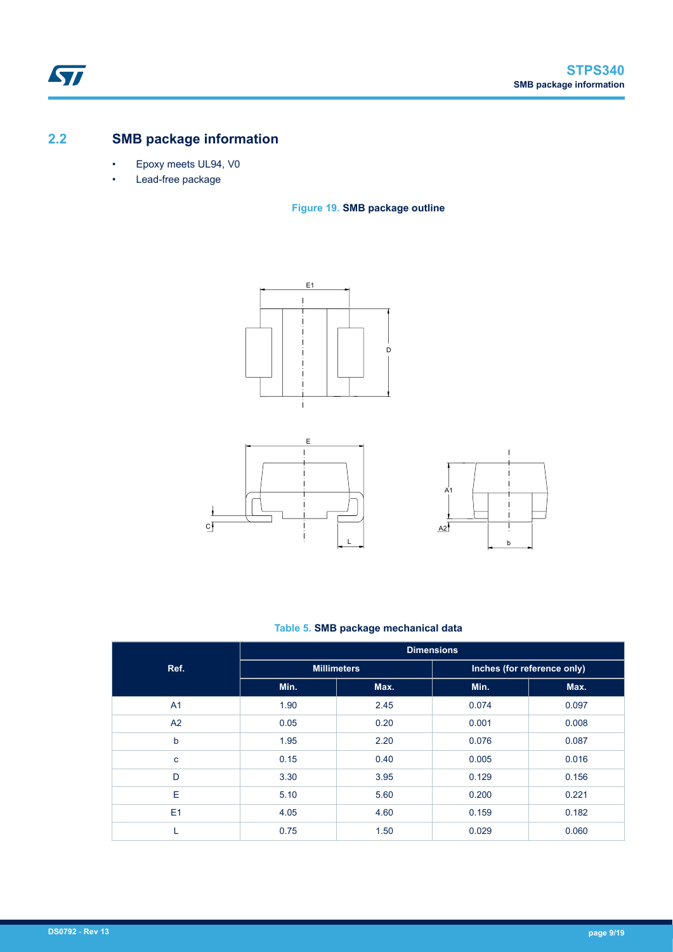# **2.2 SMB package information**

- Epoxy meets UL94, V0
- Lead-free package

### **Figure 19. SMB package outline**







### **Table 5. SMB package mechanical data**

|                | <b>Dimensions</b> |                    |                             |       |  |  |
|----------------|-------------------|--------------------|-----------------------------|-------|--|--|
| Ref.           |                   | <b>Millimeters</b> | Inches (for reference only) |       |  |  |
|                | Min.              | Max.               | Min.                        | Max.  |  |  |
| A <sub>1</sub> | 1.90              | 2.45               | 0.074                       | 0.097 |  |  |
| A2             | 0.05              | 0.20               | 0.001                       | 0.008 |  |  |
| b              | 1.95              | 2.20               | 0.076                       | 0.087 |  |  |
| C              | 0.15              | 0.40               | 0.005                       | 0.016 |  |  |
| D              | 3.30              | 3.95               | 0.129                       | 0.156 |  |  |
| E              | 5.10              | 5.60               | 0.200                       | 0.221 |  |  |
| E1             | 4.05              | 4.60               | 0.159                       | 0.182 |  |  |
|                | 0.75              | 1.50               | 0.029                       | 0.060 |  |  |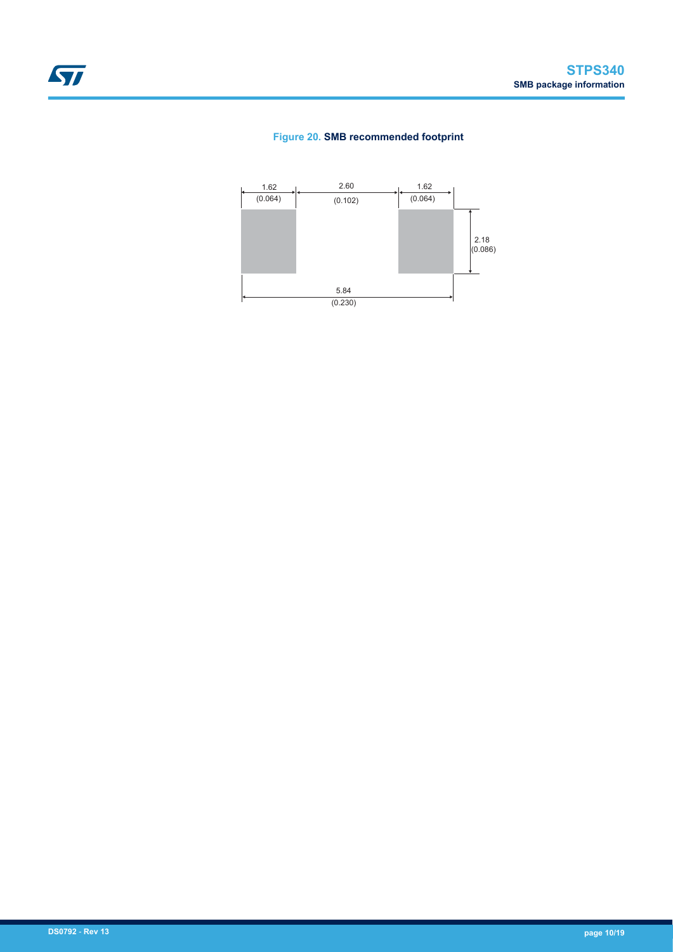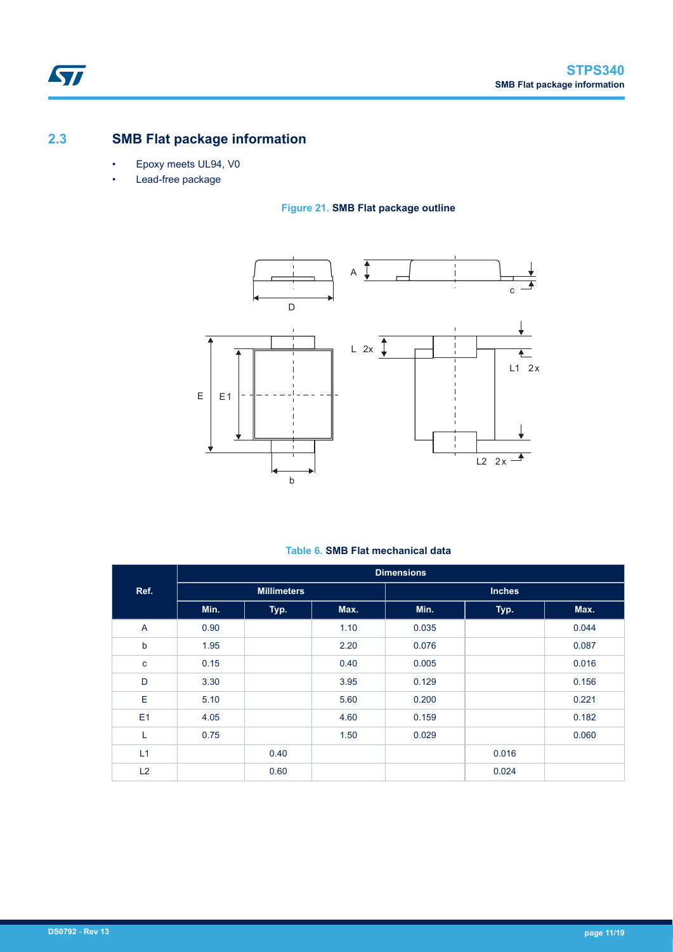# **2.3 SMB Flat package information**

- Epoxy meets UL94, V0
- Lead-free package

## **Figure 21. SMB Flat package outline**



## **Table 6. SMB Flat mechanical data**

|             |      |                    |      | <b>Dimensions</b> |               |       |
|-------------|------|--------------------|------|-------------------|---------------|-------|
| Ref.        |      | <b>Millimeters</b> |      |                   | <b>Inches</b> |       |
|             | Min. | Typ.               | Max. | Min.              | Typ.          | Max.  |
| A           | 0.90 |                    | 1.10 | 0.035             |               | 0.044 |
| $\mathbf b$ | 1.95 |                    | 2.20 | 0.076             |               | 0.087 |
| $\mathbf c$ | 0.15 |                    | 0.40 | 0.005             |               | 0.016 |
| D           | 3.30 |                    | 3.95 | 0.129             |               | 0.156 |
| E           | 5.10 |                    | 5.60 | 0.200             |               | 0.221 |
| E1          | 4.05 |                    | 4.60 | 0.159             |               | 0.182 |
| L           | 0.75 |                    | 1.50 | 0.029             |               | 0.060 |
| L1          |      | 0.40               |      |                   | 0.016         |       |
| L2          |      | 0.60               |      |                   | 0.024         |       |

 $\sqrt{2}$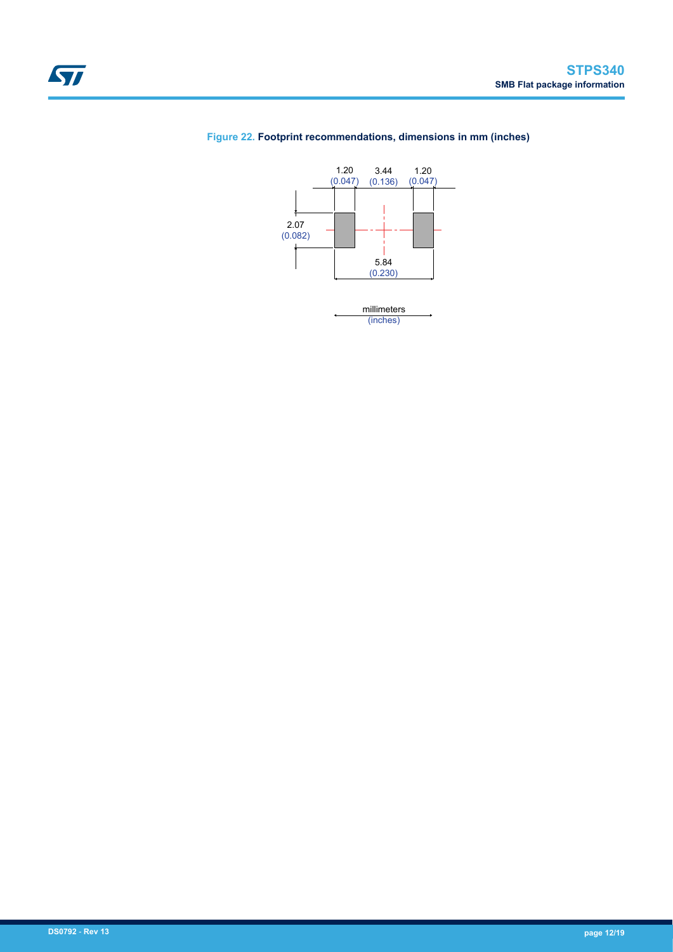



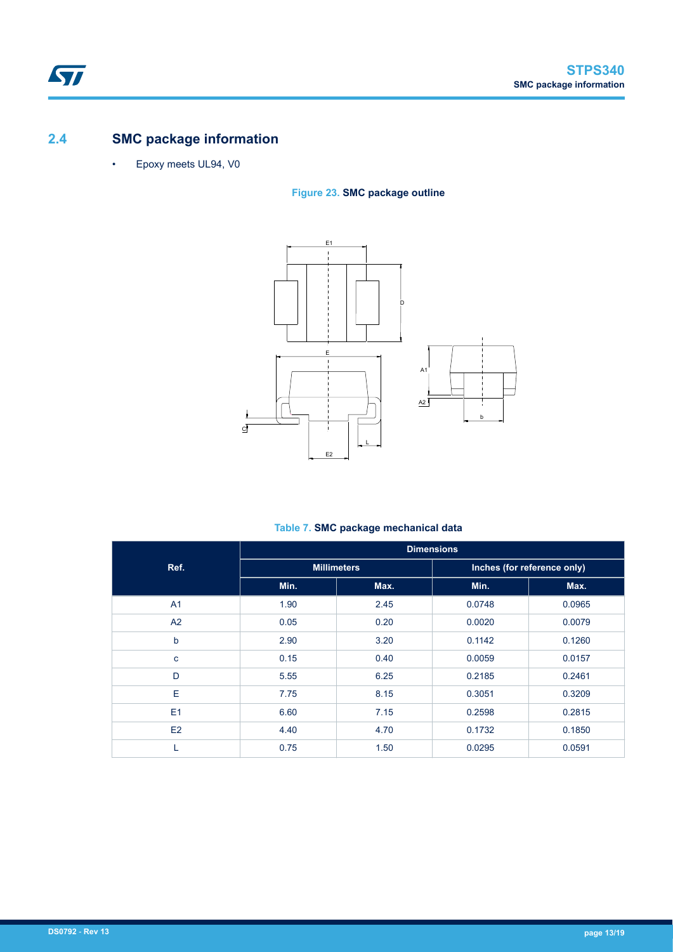# **2.4 SMC package information**

ST

• Epoxy meets UL94, V0

# **Figure 23. SMC package outline**



## **Table 7. SMC package mechanical data**

|                | <b>Dimensions</b> |                    |                             |        |  |
|----------------|-------------------|--------------------|-----------------------------|--------|--|
| Ref.           |                   | <b>Millimeters</b> | Inches (for reference only) |        |  |
|                | Min.              | Max.               | Min.                        | Max.   |  |
| A <sub>1</sub> | 1.90              | 2.45               | 0.0748                      | 0.0965 |  |
| A <sub>2</sub> | 0.05              | 0.20               | 0.0020                      | 0.0079 |  |
| b              | 2.90              | 3.20               | 0.1142                      | 0.1260 |  |
| c              | 0.15              | 0.40               | 0.0059                      | 0.0157 |  |
| D              | 5.55              | 6.25               | 0.2185                      | 0.2461 |  |
| E              | 7.75              | 8.15               | 0.3051                      | 0.3209 |  |
| E1             | 6.60              | 7.15               | 0.2598                      | 0.2815 |  |
| E2             | 4.40              | 4.70               | 0.1732                      | 0.1850 |  |
| L              | 0.75              | 1.50               | 0.0295                      | 0.0591 |  |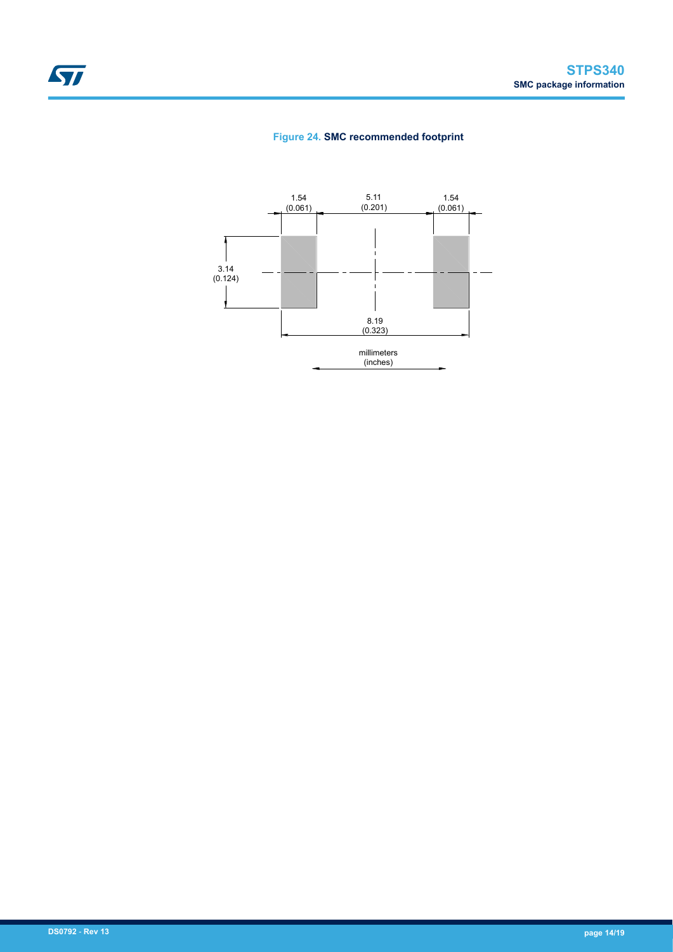### **Figure 24. SMC recommended footprint**

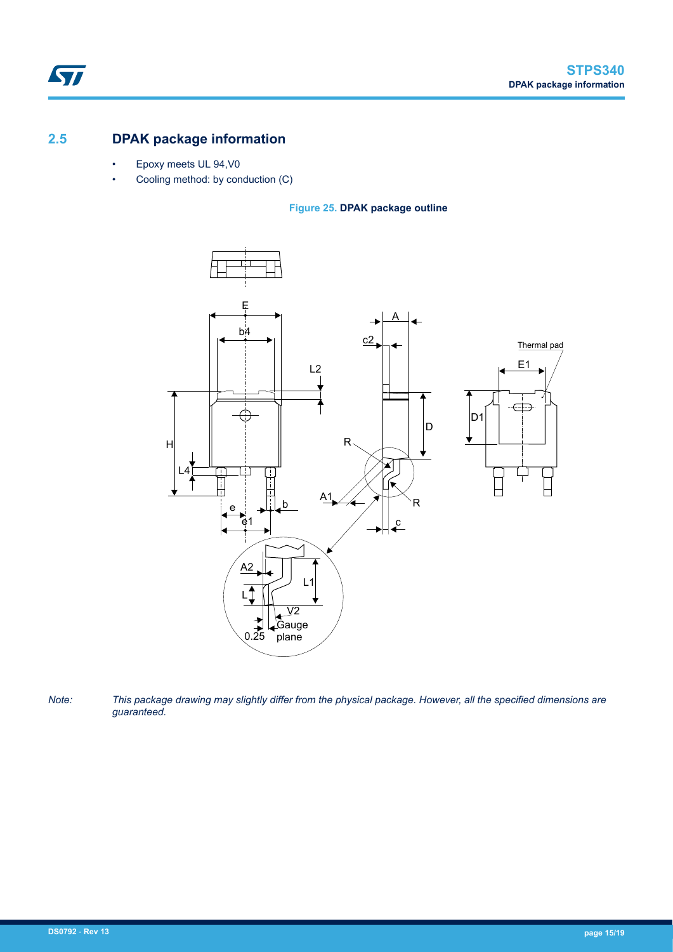# **2.5 DPAK package information**

ST

- Epoxy meets UL 94,V0
- Cooling method: by conduction (C)

### **Figure 25. DPAK package outline**



*Note: This package drawing may slightly differ from the physical package. However, all the specified dimensions are guaranteed.*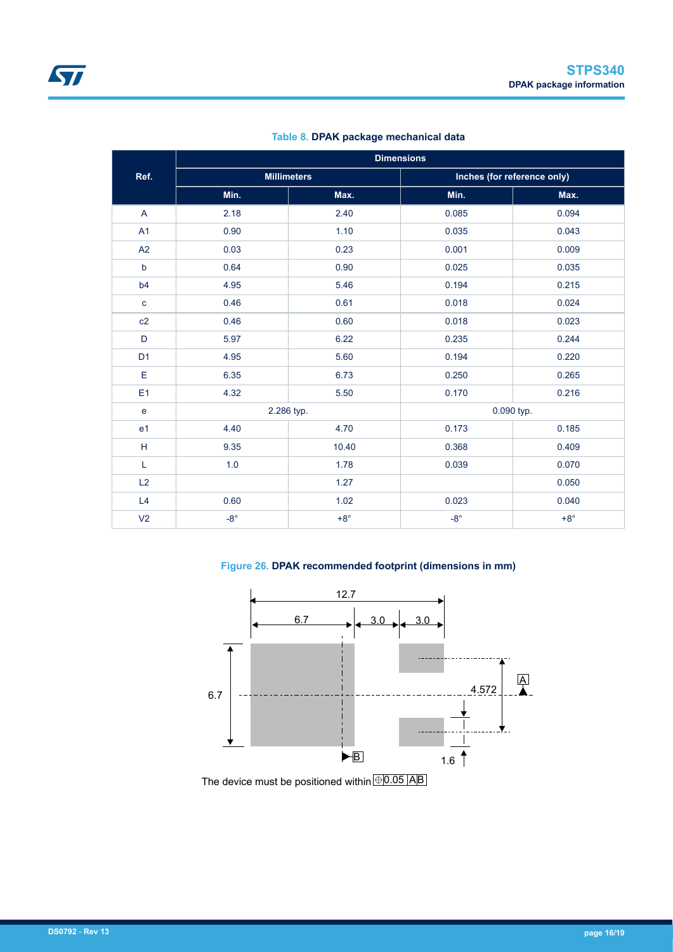| <b>Dimensions</b> |              |                    |                             |              |  |
|-------------------|--------------|--------------------|-----------------------------|--------------|--|
| Ref.              |              | <b>Millimeters</b> | Inches (for reference only) |              |  |
|                   | Min.         | Max.               | Min.                        | Max.         |  |
| $\mathsf{A}$      | 2.18         | 2.40               | 0.085                       | 0.094        |  |
| A1                | 0.90         | 1.10               | 0.035                       | 0.043        |  |
| A2                | 0.03         | 0.23               | 0.001                       | 0.009        |  |
| $\mathsf b$       | 0.64         | 0.90               | 0.025                       | 0.035        |  |
| b4                | 4.95         | 5.46               | 0.194                       | 0.215        |  |
| $\mathbf c$       | 0.46         | 0.61               | 0.018                       | 0.024        |  |
| c2                | 0.46         | 0.60               | 0.018                       | 0.023        |  |
| D                 | 5.97         | 6.22               | 0.235                       | 0.244        |  |
| D <sub>1</sub>    | 4.95         | 5.60               | 0.194                       | 0.220        |  |
| E                 | 6.35         | 6.73               | 0.250                       | 0.265        |  |
| E <sub>1</sub>    | 4.32         | 5.50               | 0.170                       | 0.216        |  |
| e                 |              | 2.286 typ.         |                             | 0.090 typ.   |  |
| e1                | 4.40         | 4.70               | 0.173                       | 0.185        |  |
| $\mathsf H$       | 9.35         | 10.40              | 0.368                       | 0.409        |  |
| Г                 | 1.0          | 1.78               | 0.039                       | 0.070        |  |
| L2                |              | 1.27               |                             | 0.050        |  |
| L4                | 0.60         | 1.02               | 0.023                       | 0.040        |  |
| V <sub>2</sub>    | $-8^{\circ}$ | $+8^{\circ}$       | $-8^{\circ}$                | $+8^{\circ}$ |  |

**Table 8. DPAK package mechanical data**

### **Figure 26. DPAK recommended footprint (dimensions in mm)**



The device must be positioned within  $\overline{\bigoplus} 0.05$  AB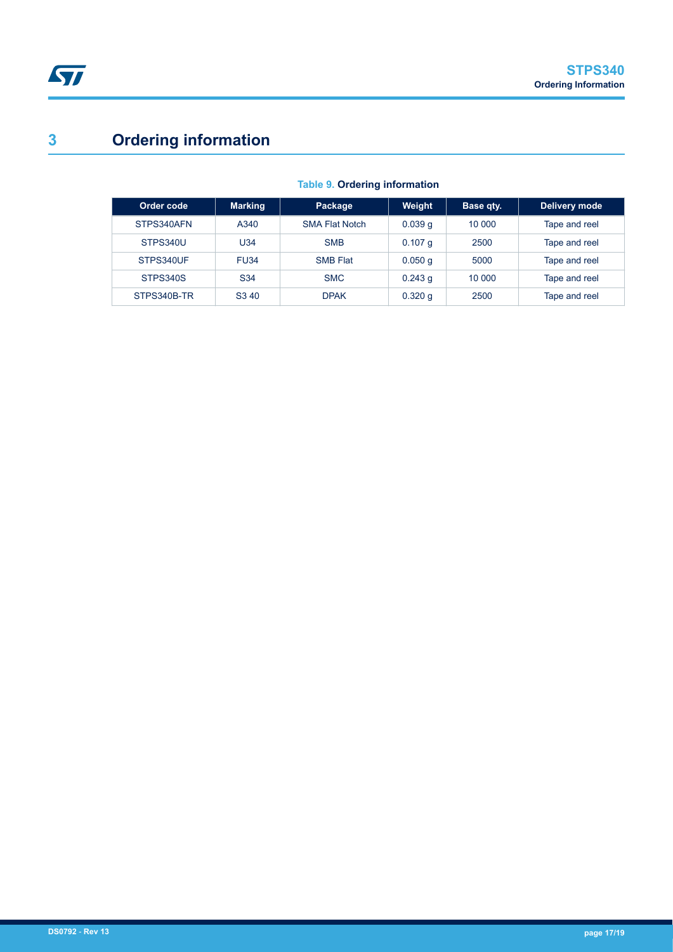# **3 Ordering information**

| Order code  | <b>Marking</b>    | Package               | Weight    | Base qty. | Delivery mode |
|-------------|-------------------|-----------------------|-----------|-----------|---------------|
| STPS340AFN  | A340              | <b>SMA Flat Notch</b> | 0.039q    | 10 000    | Tape and reel |
| STPS340U    | U34               | <b>SMB</b>            | $0.107$ q | 2500      | Tape and reel |
| STPS340UF   | <b>FU34</b>       | <b>SMB Flat</b>       | 0.050q    | 5000      | Tape and reel |
| STPS340S    | S <sub>34</sub>   | <b>SMC</b>            | $0.243$ q | 10 000    | Tape and reel |
| STPS340B-TR | S <sub>3</sub> 40 | <b>DPAK</b>           | $0.320$ g | 2500      | Tape and reel |

### **Table 9. Ordering information**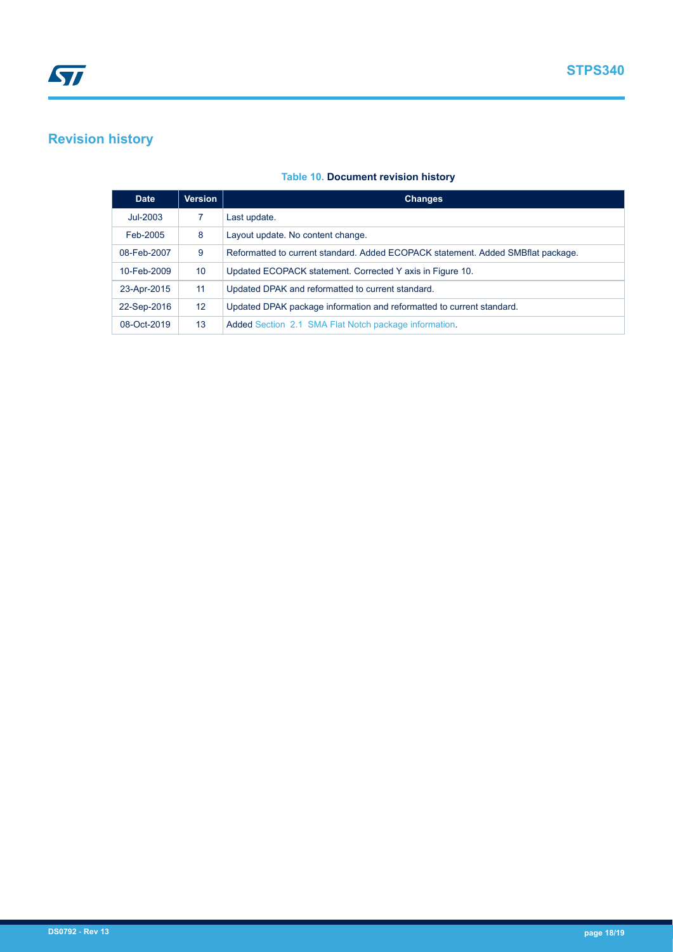# **Revision history**

### **Table 10. Document revision history**

| <b>Date</b> | <b>Version</b>    | <b>Changes</b>                                                                   |
|-------------|-------------------|----------------------------------------------------------------------------------|
| Jul-2003    |                   | Last update.                                                                     |
| Feb-2005    | 8                 | Layout update. No content change.                                                |
| 08-Feb-2007 | 9                 | Reformatted to current standard. Added ECOPACK statement. Added SMBflat package. |
| 10-Feb-2009 | 10 <sup>°</sup>   | Updated ECOPACK statement. Corrected Y axis in Figure 10.                        |
| 23-Apr-2015 | 11                | Updated DPAK and reformatted to current standard.                                |
| 22-Sep-2016 | $12 \overline{ }$ | Updated DPAK package information and reformatted to current standard.            |
| 08-Oct-2019 | 13                | Added Section 2.1 SMA Flat Notch package information.                            |